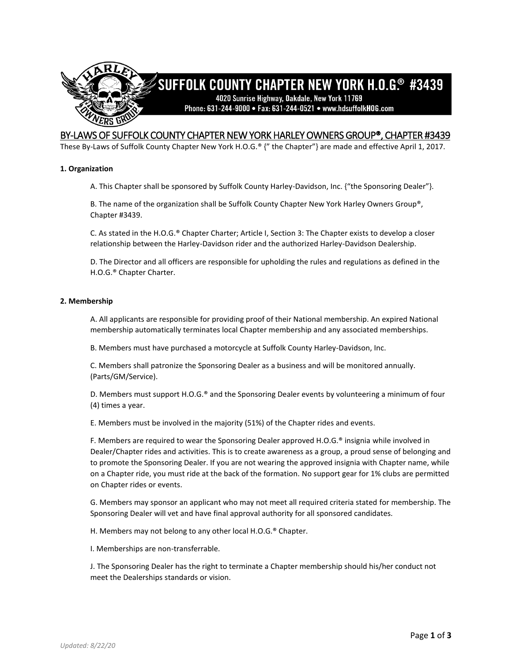

# BY-LAWS OF SUFFOLK COUNTY CHAPTER NEW YORK HARLEY OWNERS GROUP®, CHAPTER #3439

These By-Laws of Suffolk County Chapter New York H.O.G.® {" the Chapter"} are made and effective April 1, 2017.

# **1. Organization**

A. This Chapter shall be sponsored by Suffolk County Harley-Davidson, Inc. {"the Sponsoring Dealer"}.

B. The name of the organization shall be Suffolk County Chapter New York Harley Owners Group®, Chapter #3439.

C. As stated in the H.O.G.® Chapter Charter; Article I, Section 3: The Chapter exists to develop a closer relationship between the Harley-Davidson rider and the authorized Harley-Davidson Dealership.

D. The Director and all officers are responsible for upholding the rules and regulations as defined in the H.O.G.® Chapter Charter.

### **2. Membership**

A. All applicants are responsible for providing proof of their National membership. An expired National membership automatically terminates local Chapter membership and any associated memberships.

B. Members must have purchased a motorcycle at Suffolk County Harley-Davidson, Inc.

C. Members shall patronize the Sponsoring Dealer as a business and will be monitored annually. (Parts/GM/Service).

D. Members must support H.O.G.® and the Sponsoring Dealer events by volunteering a minimum of four (4) times a year.

E. Members must be involved in the majority (51%) of the Chapter rides and events.

F. Members are required to wear the Sponsoring Dealer approved H.O.G.® insignia while involved in Dealer/Chapter rides and activities. This is to create awareness as a group, a proud sense of belonging and to promote the Sponsoring Dealer. If you are not wearing the approved insignia with Chapter name, while on a Chapter ride, you must ride at the back of the formation. No support gear for 1% clubs are permitted on Chapter rides or events.

G. Members may sponsor an applicant who may not meet all required criteria stated for membership. The Sponsoring Dealer will vet and have final approval authority for all sponsored candidates.

H. Members may not belong to any other local H.O.G.® Chapter.

I. Memberships are non-transferrable.

J. The Sponsoring Dealer has the right to terminate a Chapter membership should his/her conduct not meet the Dealerships standards or vision.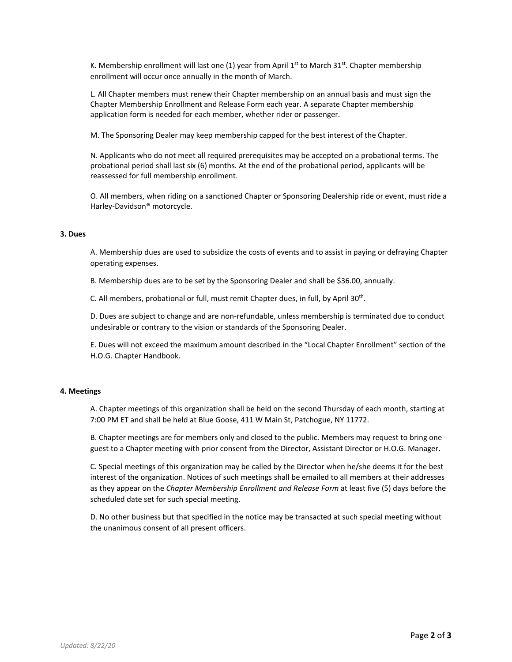K. Membership enrollment will last one (1) year from April  $1<sup>st</sup>$  to March 31<sup>st</sup>. Chapter membership enrollment will occur once annually in the month of March.

L. All Chapter members must renew their Chapter membership on an annual basis and must sign the Chapter Membership Enrollment and Release Form each year. A separate Chapter membership application form is needed for each member, whether rider or passenger.

M. The Sponsoring Dealer may keep membership capped for the best interest of the Chapter.

N. Applicants who do not meet all required prerequisites may be accepted on a probational terms. The probational period shall last six (6) months. At the end of the probational period, applicants will be reassessed for full membership enrollment.

O. All members, when riding on a sanctioned Chapter or Sponsoring Dealership ride or event, must ride a Harley-Davidson® motorcycle.

# **3. Dues**

A. Membership dues are used to subsidize the costs of events and to assist in paying or defraying Chapter operating expenses.

B. Membership dues are to be set by the Sponsoring Dealer and shall be \$36.00, annually.

C. All members, probational or full, must remit Chapter dues, in full, by April 30<sup>th</sup>.

D. Dues are subject to change and are non-refundable, unless membership is terminated due to conduct undesirable or contrary to the vision or standards of the Sponsoring Dealer.

E. Dues will not exceed the maximum amount described in the "Local Chapter Enrollment" section of the H.O.G. Chapter Handbook.

# **4. Meetings**

A. Chapter meetings of this organization shall be held on the second Thursday of each month, starting at 7:00 PM ET and shall be held at Blue Goose, 411 W Main St, Patchogue, NY 11772.

B. Chapter meetings are for members only and closed to the public. Members may request to bring one guest to a Chapter meeting with prior consent from the Director, Assistant Director or H.O.G. Manager.

C. Special meetings of this organization may be called by the Director when he/she deems it for the best interest of the organization. Notices of such meetings shall be emailed to all members at their addresses as they appear on the *Chapter Membership Enrollment and Release Form* at least five (5) days before the scheduled date set for such special meeting.

D. No other business but that specified in the notice may be transacted at such special meeting without the unanimous consent of all present officers.